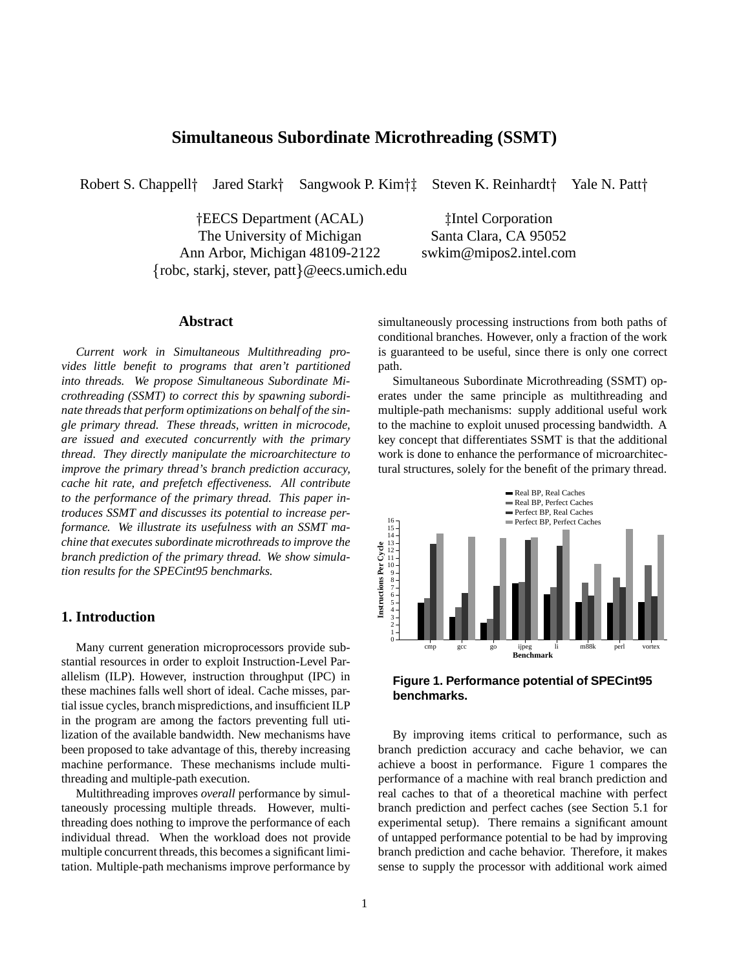# **Simultaneous Subordinate Microthreading (SSMT)**

Robert S. Chappell Jared Stark Sangwook P. Kim<sup>++</sup> Steven K. Reinhardt Yale N. Patt

> EECS Department (ACAL) The University of Michigan Santa Clara, CA 95052 Ann Arbor, Michigan 48109-2122 swkim@mipos2.intel.com {robc, starkj, stever, patt}@eecs.umich.edu

Intel Corporation

### **Abstract**

*Current work in Simultaneous Multithreading provides little benefit to programs that aren't partitioned into threads. We propose Simultaneous Subordinate Microthreading (SSMT) to correct this by spawning subordinate threads that perform optimizations on behalf of the single primary thread. These threads, written in microcode, are issued and executed concurrently with the primary thread. They directly manipulate the microarchitecture to improve the primary thread's branch prediction accuracy, cache hit rate, and prefetch effectiveness. All contribute to the performance of the primary thread. This paper introduces SSMT and discusses its potential to increase performance. We illustrate its usefulness with an SSMT machine that executes subordinate microthreads to improve the branch prediction of the primary thread. We show simulation results for the SPECint95 benchmarks.*

### **1. Introduction**

Many current generation microprocessors provide substantial resources in order to exploit Instruction-Level Parallelism (ILP). However, instruction throughput (IPC) in these machines falls well short of ideal. Cache misses, partial issue cycles, branch mispredictions, and insufficient ILP in the program are among the factors preventing full utilization of the available bandwidth. New mechanisms have been proposed to take advantage of this, thereby increasing machine performance. These mechanisms include multithreading and multiple-path execution.

Multithreading improves *overall* performance by simultaneously processing multiple threads. However, multithreading does nothing to improve the performance of each individual thread. When the workload does not provide multiple concurrent threads, this becomes a significant limitation. Multiple-path mechanisms improve performance by simultaneously processing instructions from both paths of conditional branches. However, only a fraction of the work is guaranteed to be useful, since there is only one correct path.

Simultaneous Subordinate Microthreading (SSMT) operates under the same principle as multithreading and multiple-path mechanisms: supply additional useful work to the machine to exploit unused processing bandwidth. A key concept that differentiates SSMT is that the additional work is done to enhance the performance of microarchitectural structures, solely for the benefit of the primary thread.





By improving items critical to performance, such as branch prediction accuracy and cache behavior, we can achieve a boost in performance. Figure 1 compares the performance of a machine with real branch prediction and real caches to that of a theoretical machine with perfect branch prediction and perfect caches (see Section 5.1 for experimental setup). There remains a significant amount of untapped performance potential to be had by improving branch prediction and cache behavior. Therefore, it makes sense to supply the processor with additional work aimed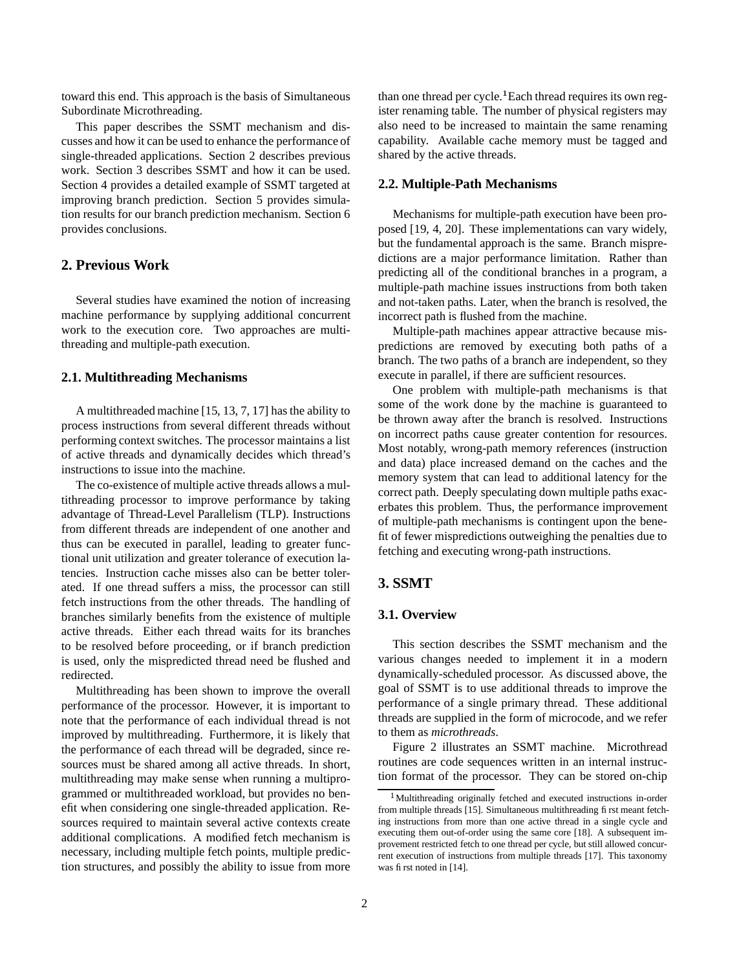toward this end. This approach is the basis of Simultaneous Subordinate Microthreading.

This paper describes the SSMT mechanism and discusses and how it can be used to enhance the performance of single-threaded applications. Section 2 describes previous work. Section 3 describes SSMT and how it can be used. Section 4 provides a detailed example of SSMT targeted at improving branch prediction. Section 5 provides simulation results for our branch prediction mechanism. Section 6 provides conclusions.

# **2. Previous Work**

Several studies have examined the notion of increasing machine performance by supplying additional concurrent work to the execution core. Two approaches are multithreading and multiple-path execution.

#### **2.1. Multithreading Mechanisms**

A multithreaded machine [15, 13, 7, 17] has the ability to process instructions from several different threads without performing context switches. The processor maintains a list of active threads and dynamically decides which thread's instructions to issue into the machine.

The co-existence of multiple active threads allows a multithreading processor to improve performance by taking advantage of Thread-Level Parallelism (TLP). Instructions from different threads are independent of one another and thus can be executed in parallel, leading to greater functional unit utilization and greater tolerance of execution latencies. Instruction cache misses also can be better tolerated. If one thread suffers a miss, the processor can still fetch instructions from the other threads. The handling of branches similarly benefits from the existence of multiple active threads. Either each thread waits for its branches to be resolved before proceeding, or if branch prediction is used, only the mispredicted thread need be flushed and redirected.

Multithreading has been shown to improve the overall performance of the processor. However, it is important to note that the performance of each individual thread is not improved by multithreading. Furthermore, it is likely that the performance of each thread will be degraded, since resources must be shared among all active threads. In short, multithreading may make sense when running a multiprogrammed or multithreaded workload, but provides no benefit when considering one single-threaded application. Resources required to maintain several active contexts create additional complications. A modified fetch mechanism is necessary, including multiple fetch points, multiple prediction structures, and possibly the ability to issue from more than one thread per cycle.<sup>1</sup> Each thread requires its own register renaming table. The number of physical registers may also need to be increased to maintain the same renaming capability. Available cache memory must be tagged and shared by the active threads.

#### **2.2. Multiple-Path Mechanisms**

Mechanisms for multiple-path execution have been proposed [19, 4, 20]. These implementations can vary widely, but the fundamental approach is the same. Branch mispredictions are a major performance limitation. Rather than predicting all of the conditional branches in a program, a multiple-path machine issues instructions from both taken and not-taken paths. Later, when the branch is resolved, the incorrect path is flushed from the machine.

Multiple-path machines appear attractive because mispredictions are removed by executing both paths of a branch. The two paths of a branch are independent, so they execute in parallel, if there are sufficient resources.

One problem with multiple-path mechanisms is that some of the work done by the machine is guaranteed to be thrown away after the branch is resolved. Instructions on incorrect paths cause greater contention for resources. Most notably, wrong-path memory references (instruction and data) place increased demand on the caches and the memory system that can lead to additional latency for the correct path. Deeply speculating down multiple paths exacerbates this problem. Thus, the performance improvement of multiple-path mechanisms is contingent upon the benefit of fewer mispredictions outweighing the penalties due to fetching and executing wrong-path instructions.

# **3. SSMT**

### **3.1. Overview**

This section describes the SSMT mechanism and the various changes needed to implement it in a modern dynamically-scheduled processor. As discussed above, the goal of SSMT is to use additional threads to improve the performance of a single primary thread. These additional threads are supplied in the form of microcode, and we refer to them as *microthreads*.

Figure 2 illustrates an SSMT machine. Microthread routines are code sequences written in an internal instruction format of the processor. They can be stored on-chip

<sup>&</sup>lt;sup>1</sup>Multithreading originally fetched and executed instructions in-order from multiple threads [15]. Simultaneous multithreading first meant fetching instructions from more than one active thread in a single cycle and executing them out-of-order using the same core [18]. A subsequent improvement restricted fetch to one thread per cycle, but still allowed concurrent execution of instructions from multiple threads [17]. This taxonomy was first noted in [14].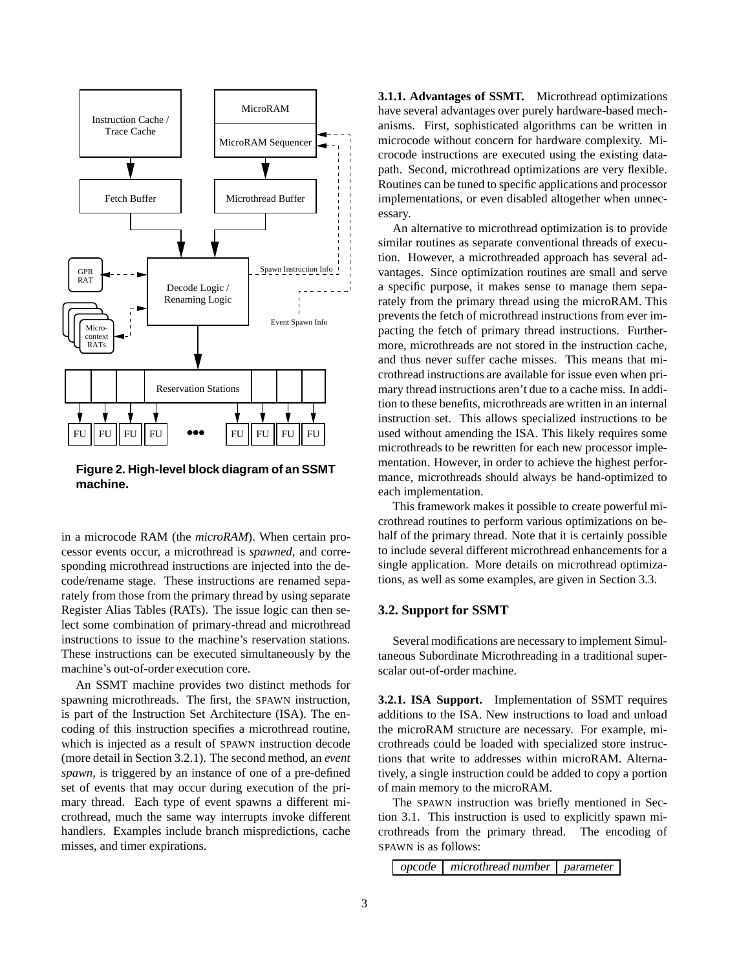

**Figure 2. High-level block diagram of an SSMT machine.**

in a microcode RAM (the *microRAM*). When certain processor events occur, a microthread is *spawned*, and corresponding microthread instructions are injected into the decode/rename stage. These instructions are renamed separately from those from the primary thread by using separate Register Alias Tables (RATs). The issue logic can then select some combination of primary-thread and microthread instructions to issue to the machine's reservation stations. These instructions can be executed simultaneously by the machine's out-of-order execution core.

An SSMT machine provides two distinct methods for spawning microthreads. The first, the SPAWN instruction, is part of the Instruction Set Architecture (ISA). The encoding of this instruction specifies a microthread routine, which is injected as a result of SPAWN instruction decode (more detail in Section 3.2.1). The second method, an *event spawn*, is triggered by an instance of one of a pre-defined set of events that may occur during execution of the primary thread. Each type of event spawns a different microthread, much the same way interrupts invoke different handlers. Examples include branch mispredictions, cache misses, and timer expirations.

**3.1.1. Advantages of SSMT.** Microthread optimizations have several advantages over purely hardware-based mechanisms. First, sophisticated algorithms can be written in microcode without concern for hardware complexity. Microcode instructions are executed using the existing datapath. Second, microthread optimizations are very flexible. Routines can be tuned to specific applications and processor implementations, or even disabled altogether when unnecessary.

An alternative to microthread optimization is to provide similar routines as separate conventional threads of execution. However, a microthreaded approach has several advantages. Since optimization routines are small and serve a specific purpose, it makes sense to manage them separately from the primary thread using the microRAM. This prevents the fetch of microthread instructions from ever impacting the fetch of primary thread instructions. Furthermore, microthreads are not stored in the instruction cache, and thus never suffer cache misses. This means that microthread instructions are available for issue even when primary thread instructions aren't due to a cache miss. In addition to these benefits, microthreads are written in an internal instruction set. This allows specialized instructions to be used without amending the ISA. This likely requires some microthreads to be rewritten for each new processor implementation. However, in order to achieve the highest performance, microthreads should always be hand-optimized to each implementation.

This framework makes it possible to create powerful microthread routines to perform various optimizations on behalf of the primary thread. Note that it is certainly possible to include several different microthread enhancements for a single application. More details on microthread optimizations, as well as some examples, are given in Section 3.3.

#### **3.2. Support for SSMT**

Several modifications are necessary to implement Simultaneous Subordinate Microthreading in a traditional superscalar out-of-order machine.

**3.2.1. ISA Support.** Implementation of SSMT requires additions to the ISA. New instructions to load and unload the microRAM structure are necessary. For example, microthreads could be loaded with specialized store instructions that write to addresses within microRAM. Alternatively, a single instruction could be added to copy a portion of main memory to the microRAM.

The SPAWN instruction was briefly mentioned in Section 3.1. This instruction is used to explicitly spawn microthreads from the primary thread. The encoding of SPAWN is as follows:

opcode microthread number parameter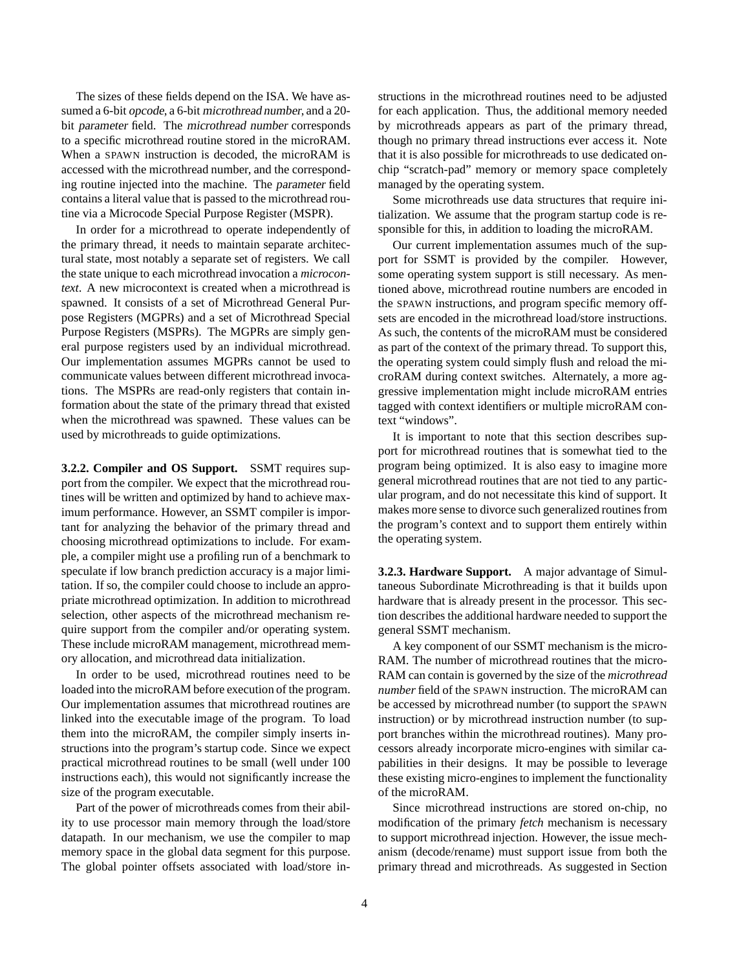The sizes of these fields depend on the ISA. We have assumed a 6-bit opcode, a 6-bit microthread number, and a 20 bit parameter field. The microthread number corresponds to a specific microthread routine stored in the microRAM. When a SPAWN instruction is decoded, the microRAM is accessed with the microthread number, and the corresponding routine injected into the machine. The parameter field contains a literal value that is passed to the microthread routine via a Microcode Special Purpose Register (MSPR).

In order for a microthread to operate independently of the primary thread, it needs to maintain separate architectural state, most notably a separate set of registers. We call the state unique to each microthread invocation a *microcontext*. A new microcontext is created when a microthread is spawned. It consists of a set of Microthread General Purpose Registers (MGPRs) and a set of Microthread Special Purpose Registers (MSPRs). The MGPRs are simply general purpose registers used by an individual microthread. Our implementation assumes MGPRs cannot be used to communicate values between different microthread invocations. The MSPRs are read-only registers that contain information about the state of the primary thread that existed when the microthread was spawned. These values can be used by microthreads to guide optimizations.

**3.2.2. Compiler and OS Support.** SSMT requires support from the compiler. We expect that the microthread routines will be written and optimized by hand to achieve maximum performance. However, an SSMT compiler is important for analyzing the behavior of the primary thread and choosing microthread optimizations to include. For example, a compiler might use a profiling run of a benchmark to speculate if low branch prediction accuracy is a major limitation. If so, the compiler could choose to include an appropriate microthread optimization. In addition to microthread selection, other aspects of the microthread mechanism require support from the compiler and/or operating system. These include microRAM management, microthread memory allocation, and microthread data initialization.

In order to be used, microthread routines need to be loaded into the microRAM before execution of the program. Our implementation assumes that microthread routines are linked into the executable image of the program. To load them into the microRAM, the compiler simply inserts instructions into the program's startup code. Since we expect practical microthread routines to be small (well under 100 instructions each), this would not significantly increase the size of the program executable.

Part of the power of microthreads comes from their ability to use processor main memory through the load/store datapath. In our mechanism, we use the compiler to map memory space in the global data segment for this purpose. The global pointer offsets associated with load/store instructions in the microthread routines need to be adjusted for each application. Thus, the additional memory needed by microthreads appears as part of the primary thread, though no primary thread instructions ever access it. Note that it is also possible for microthreads to use dedicated onchip "scratch-pad" memory or memory space completely managed by the operating system.

Some microthreads use data structures that require initialization. We assume that the program startup code is responsible for this, in addition to loading the microRAM.

Our current implementation assumes much of the support for SSMT is provided by the compiler. However, some operating system support is still necessary. As mentioned above, microthread routine numbers are encoded in the SPAWN instructions, and program specific memory offsets are encoded in the microthread load/store instructions. As such, the contents of the microRAM must be considered as part of the context of the primary thread. To support this, the operating system could simply flush and reload the microRAM during context switches. Alternately, a more aggressive implementation might include microRAM entries tagged with context identifiers or multiple microRAM context "windows".

It is important to note that this section describes support for microthread routines that is somewhat tied to the program being optimized. It is also easy to imagine more general microthread routines that are not tied to any particular program, and do not necessitate this kind of support. It makes more sense to divorce such generalized routines from the program's context and to support them entirely within the operating system.

**3.2.3. Hardware Support.** A major advantage of Simultaneous Subordinate Microthreading is that it builds upon hardware that is already present in the processor. This section describes the additional hardware needed to support the general SSMT mechanism.

A key component of our SSMT mechanism is the micro-RAM. The number of microthread routines that the micro-RAM can contain is governed by the size of the *microthread number* field of the SPAWN instruction. The microRAM can be accessed by microthread number (to support the SPAWN instruction) or by microthread instruction number (to support branches within the microthread routines). Many processors already incorporate micro-engines with similar capabilities in their designs. It may be possible to leverage these existing micro-engines to implement the functionality of the microRAM.

Since microthread instructions are stored on-chip, no modification of the primary *fetch* mechanism is necessary to support microthread injection. However, the issue mechanism (decode/rename) must support issue from both the primary thread and microthreads. As suggested in Section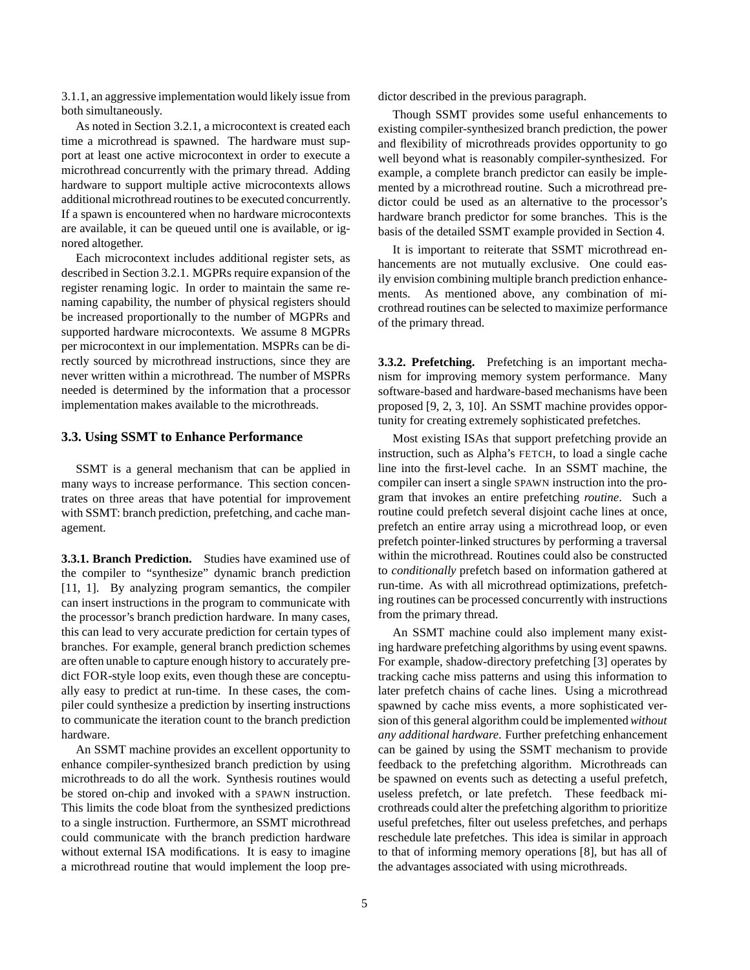3.1.1, an aggressive implementation would likely issue from both simultaneously.

As noted in Section 3.2.1, a microcontext is created each time a microthread is spawned. The hardware must support at least one active microcontext in order to execute a microthread concurrently with the primary thread. Adding hardware to support multiple active microcontexts allows additional microthread routines to be executed concurrently. If a spawn is encountered when no hardware microcontexts are available, it can be queued until one is available, or ignored altogether.

Each microcontext includes additional register sets, as described in Section 3.2.1. MGPRs require expansion of the register renaming logic. In order to maintain the same renaming capability, the number of physical registers should be increased proportionally to the number of MGPRs and supported hardware microcontexts. We assume 8 MGPRs per microcontext in our implementation. MSPRs can be directly sourced by microthread instructions, since they are never written within a microthread. The number of MSPRs needed is determined by the information that a processor implementation makes available to the microthreads.

### **3.3. Using SSMT to Enhance Performance**

SSMT is a general mechanism that can be applied in many ways to increase performance. This section concentrates on three areas that have potential for improvement with SSMT: branch prediction, prefetching, and cache management.

**3.3.1. Branch Prediction.** Studies have examined use of the compiler to "synthesize" dynamic branch prediction [11, 1]. By analyzing program semantics, the compiler can insert instructions in the program to communicate with the processor's branch prediction hardware. In many cases, this can lead to very accurate prediction for certain types of branches. For example, general branch prediction schemes are often unable to capture enough history to accurately predict FOR-style loop exits, even though these are conceptually easy to predict at run-time. In these cases, the compiler could synthesize a prediction by inserting instructions to communicate the iteration count to the branch prediction hardware.

An SSMT machine provides an excellent opportunity to enhance compiler-synthesized branch prediction by using microthreads to do all the work. Synthesis routines would be stored on-chip and invoked with a SPAWN instruction. This limits the code bloat from the synthesized predictions to a single instruction. Furthermore, an SSMT microthread could communicate with the branch prediction hardware without external ISA modifications. It is easy to imagine a microthread routine that would implement the loop predictor described in the previous paragraph.

Though SSMT provides some useful enhancements to existing compiler-synthesized branch prediction, the power and flexibility of microthreads provides opportunity to go well beyond what is reasonably compiler-synthesized. For example, a complete branch predictor can easily be implemented by a microthread routine. Such a microthread predictor could be used as an alternative to the processor's hardware branch predictor for some branches. This is the basis of the detailed SSMT example provided in Section 4.

It is important to reiterate that SSMT microthread enhancements are not mutually exclusive. One could easily envision combining multiple branch prediction enhancements. As mentioned above, any combination of microthread routines can be selected to maximize performance of the primary thread.

**3.3.2. Prefetching.** Prefetching is an important mechanism for improving memory system performance. Many software-based and hardware-based mechanisms have been proposed [9, 2, 3, 10]. An SSMT machine provides opportunity for creating extremely sophisticated prefetches.

Most existing ISAs that support prefetching provide an instruction, such as Alpha's FETCH, to load a single cache line into the first-level cache. In an SSMT machine, the compiler can insert a single SPAWN instruction into the program that invokes an entire prefetching *routine*. Such a routine could prefetch several disjoint cache lines at once, prefetch an entire array using a microthread loop, or even prefetch pointer-linked structures by performing a traversal within the microthread. Routines could also be constructed to *conditionally* prefetch based on information gathered at run-time. As with all microthread optimizations, prefetching routines can be processed concurrently with instructions from the primary thread.

An SSMT machine could also implement many existing hardware prefetching algorithms by using event spawns. For example, shadow-directory prefetching [3] operates by tracking cache miss patterns and using this information to later prefetch chains of cache lines. Using a microthread spawned by cache miss events, a more sophisticated version of this general algorithm could be implemented*without any additional hardware*. Further prefetching enhancement can be gained by using the SSMT mechanism to provide feedback to the prefetching algorithm. Microthreads can be spawned on events such as detecting a useful prefetch, useless prefetch, or late prefetch. These feedback microthreads could alter the prefetching algorithm to prioritize useful prefetches, filter out useless prefetches, and perhaps reschedule late prefetches. This idea is similar in approach to that of informing memory operations [8], but has all of the advantages associated with using microthreads.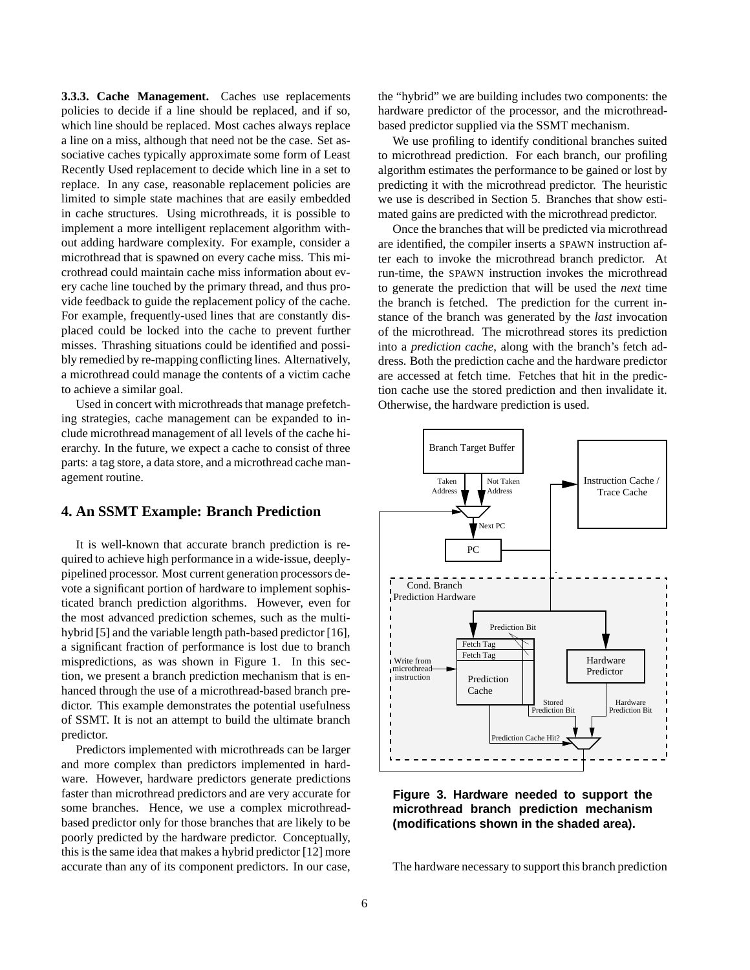**3.3.3. Cache Management.** Caches use replacements policies to decide if a line should be replaced, and if so, which line should be replaced. Most caches always replace a line on a miss, although that need not be the case. Set associative caches typically approximate some form of Least Recently Used replacement to decide which line in a set to replace. In any case, reasonable replacement policies are limited to simple state machines that are easily embedded in cache structures. Using microthreads, it is possible to implement a more intelligent replacement algorithm without adding hardware complexity. For example, consider a microthread that is spawned on every cache miss. This microthread could maintain cache miss information about every cache line touched by the primary thread, and thus provide feedback to guide the replacement policy of the cache. For example, frequently-used lines that are constantly displaced could be locked into the cache to prevent further misses. Thrashing situations could be identified and possibly remedied by re-mapping conflicting lines. Alternatively, a microthread could manage the contents of a victim cache to achieve a similar goal.

Used in concert with microthreads that manage prefetching strategies, cache management can be expanded to include microthread management of all levels of the cache hierarchy. In the future, we expect a cache to consist of three parts: a tag store, a data store, and a microthread cache management routine.

# **4. An SSMT Example: Branch Prediction**

It is well-known that accurate branch prediction is required to achieve high performance in a wide-issue, deeplypipelined processor. Most current generation processors devote a significant portion of hardware to implement sophisticated branch prediction algorithms. However, even for the most advanced prediction schemes, such as the multihybrid [5] and the variable length path-based predictor [16], a significant fraction of performance is lost due to branch mispredictions, as was shown in Figure 1. In this section, we present a branch prediction mechanism that is enhanced through the use of a microthread-based branch predictor. This example demonstrates the potential usefulness of SSMT. It is not an attempt to build the ultimate branch predictor.

Predictors implemented with microthreads can be larger and more complex than predictors implemented in hardware. However, hardware predictors generate predictions faster than microthread predictors and are very accurate for some branches. Hence, we use a complex microthreadbased predictor only for those branches that are likely to be poorly predicted by the hardware predictor. Conceptually, this is the same idea that makes a hybrid predictor [12] more accurate than any of its component predictors. In our case,

the "hybrid" we are building includes two components: the hardware predictor of the processor, and the microthreadbased predictor supplied via the SSMT mechanism.

We use profiling to identify conditional branches suited to microthread prediction. For each branch, our profiling algorithm estimates the performance to be gained or lost by predicting it with the microthread predictor. The heuristic we use is described in Section 5. Branches that show estimated gains are predicted with the microthread predictor.

Once the branches that will be predicted via microthread are identified, the compiler inserts a SPAWN instruction after each to invoke the microthread branch predictor. At run-time, the SPAWN instruction invokes the microthread to generate the prediction that will be used the *next* time the branch is fetched. The prediction for the current instance of the branch was generated by the *last* invocation of the microthread. The microthread stores its prediction into a *prediction cache*, along with the branch's fetch address. Both the prediction cache and the hardware predictor are accessed at fetch time. Fetches that hit in the prediction cache use the stored prediction and then invalidate it. Otherwise, the hardware prediction is used.



**Figure 3. Hardware needed to support the microthread branch prediction mechanism (modifications shown in the shaded area).**

The hardware necessary to support this branch prediction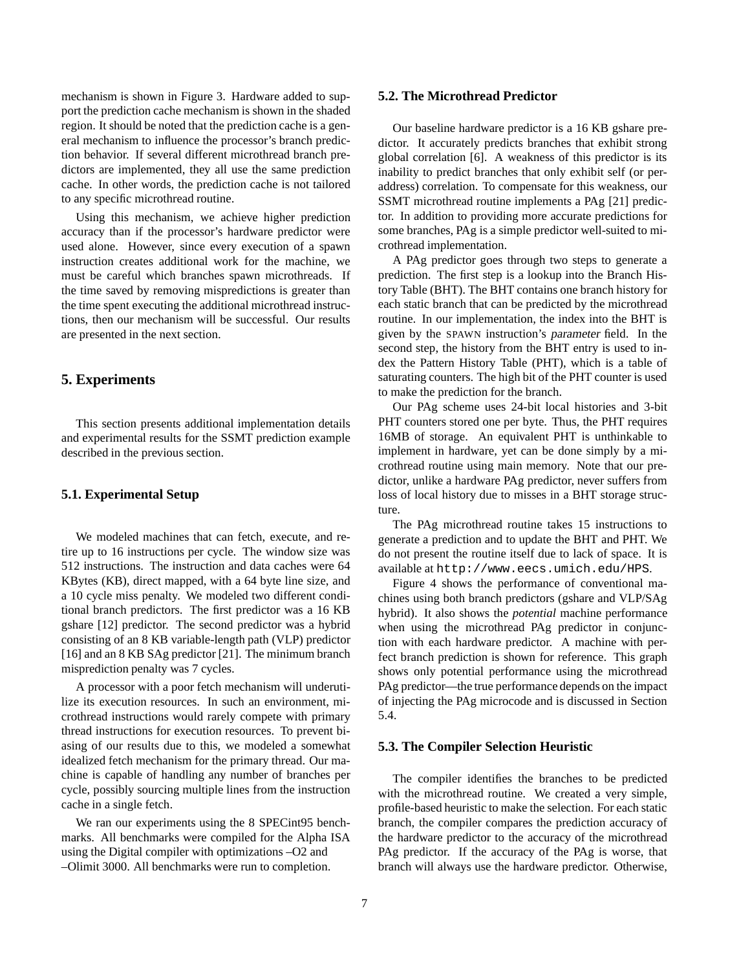mechanism is shown in Figure 3. Hardware added to support the prediction cache mechanism is shown in the shaded region. It should be noted that the prediction cache is a general mechanism to influence the processor's branch prediction behavior. If several different microthread branch predictors are implemented, they all use the same prediction cache. In other words, the prediction cache is not tailored to any specific microthread routine.

Using this mechanism, we achieve higher prediction accuracy than if the processor's hardware predictor were used alone. However, since every execution of a spawn instruction creates additional work for the machine, we must be careful which branches spawn microthreads. If the time saved by removing mispredictions is greater than the time spent executing the additional microthread instructions, then our mechanism will be successful. Our results are presented in the next section.

# **5. Experiments**

This section presents additional implementation details and experimental results for the SSMT prediction example described in the previous section.

#### **5.1. Experimental Setup**

We modeled machines that can fetch, execute, and retire up to 16 instructions per cycle. The window size was 512 instructions. The instruction and data caches were 64 KBytes (KB), direct mapped, with a 64 byte line size, and a 10 cycle miss penalty. We modeled two different conditional branch predictors. The first predictor was a 16 KB gshare [12] predictor. The second predictor was a hybrid consisting of an 8 KB variable-length path (VLP) predictor [16] and an 8 KB SAg predictor [21]. The minimum branch misprediction penalty was 7 cycles.

A processor with a poor fetch mechanism will underutilize its execution resources. In such an environment, microthread instructions would rarely compete with primary thread instructions for execution resources. To prevent biasing of our results due to this, we modeled a somewhat idealized fetch mechanism for the primary thread. Our machine is capable of handling any number of branches per cycle, possibly sourcing multiple lines from the instruction cache in a single fetch.

We ran our experiments using the 8 SPECint95 benchmarks. All benchmarks were compiled for the Alpha ISA using the Digital compiler with optimizations –O2 and –Olimit 3000. All benchmarks were run to completion.

### **5.2. The Microthread Predictor**

Our baseline hardware predictor is a 16 KB gshare predictor. It accurately predicts branches that exhibit strong global correlation [6]. A weakness of this predictor is its inability to predict branches that only exhibit self (or peraddress) correlation. To compensate for this weakness, our SSMT microthread routine implements a PAg [21] predictor. In addition to providing more accurate predictions for some branches, PAg is a simple predictor well-suited to microthread implementation.

A PAg predictor goes through two steps to generate a prediction. The first step is a lookup into the Branch History Table (BHT). The BHT contains one branch history for each static branch that can be predicted by the microthread routine. In our implementation, the index into the BHT is given by the SPAWN instruction's parameter field. In the second step, the history from the BHT entry is used to index the Pattern History Table (PHT), which is a table of saturating counters. The high bit of the PHT counter is used to make the prediction for the branch.

Our PAg scheme uses 24-bit local histories and 3-bit PHT counters stored one per byte. Thus, the PHT requires 16MB of storage. An equivalent PHT is unthinkable to implement in hardware, yet can be done simply by a microthread routine using main memory. Note that our predictor, unlike a hardware PAg predictor, never suffers from loss of local history due to misses in a BHT storage structure.

The PAg microthread routine takes 15 instructions to generate a prediction and to update the BHT and PHT. We do not present the routine itself due to lack of space. It is available at http://www.eecs.umich.edu/HPS.

Figure 4 shows the performance of conventional machines using both branch predictors (gshare and VLP/SAg hybrid). It also shows the *potential* machine performance when using the microthread PAg predictor in conjunction with each hardware predictor. A machine with perfect branch prediction is shown for reference. This graph shows only potential performance using the microthread PAg predictor—the true performance depends on the impact of injecting the PAg microcode and is discussed in Section 5.4.

### **5.3. The Compiler Selection Heuristic**

The compiler identifies the branches to be predicted with the microthread routine. We created a very simple, profile-based heuristic to make the selection. For each static branch, the compiler compares the prediction accuracy of the hardware predictor to the accuracy of the microthread PAg predictor. If the accuracy of the PAg is worse, that branch will always use the hardware predictor. Otherwise,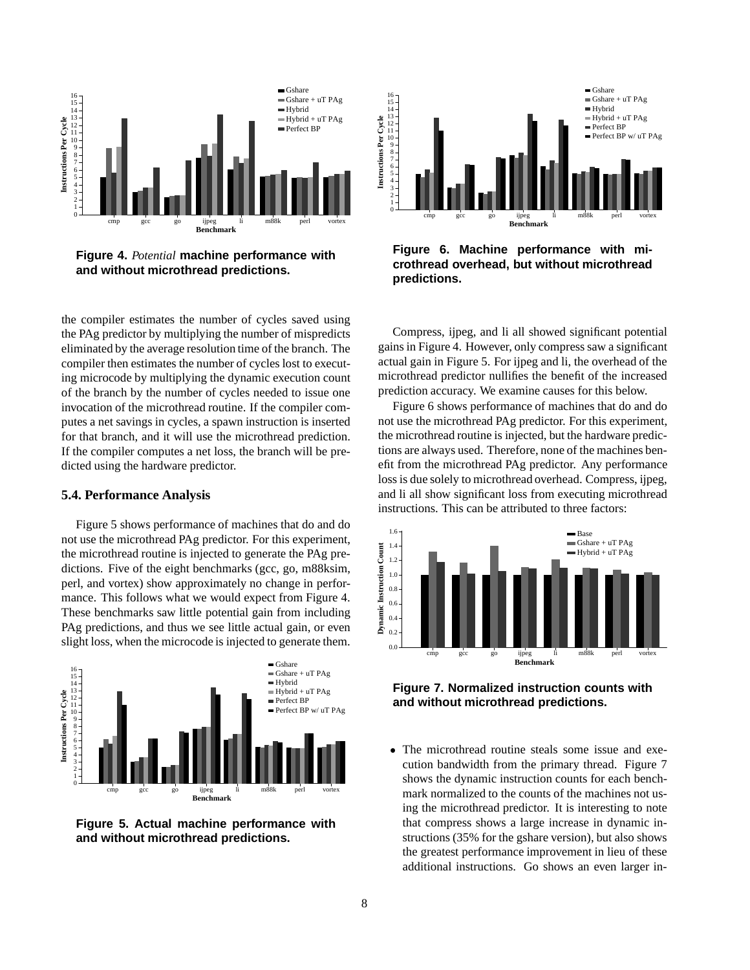

**Figure 4.** *Potential* **machine performance with and without microthread predictions.**

the compiler estimates the number of cycles saved using the PAg predictor by multiplying the number of mispredicts eliminated by the average resolution time of the branch. The compiler then estimates the number of cycles lost to executing microcode by multiplying the dynamic execution count of the branch by the number of cycles needed to issue one invocation of the microthread routine. If the compiler computes a net savings in cycles, a spawn instruction is inserted for that branch, and it will use the microthread prediction. If the compiler computes a net loss, the branch will be predicted using the hardware predictor.

#### **5.4. Performance Analysis**

Figure 5 shows performance of machines that do and do not use the microthread PAg predictor. For this experiment, the microthread routine is injected to generate the PAg predictions. Five of the eight benchmarks (gcc, go, m88ksim, perl, and vortex) show approximately no change in performance. This follows what we would expect from Figure 4. These benchmarks saw little potential gain from including PAg predictions, and thus we see little actual gain, or even slight loss, when the microcode is injected to generate them.



**Figure 5. Actual machine performance with and without microthread predictions.**



**Figure 6. Machine performance with microthread overhead, but without microthread predictions.**

Compress, ijpeg, and li all showed significant potential gains in Figure 4. However, only compress saw a significant actual gain in Figure 5. For ijpeg and li, the overhead of the microthread predictor nullifies the benefit of the increased prediction accuracy. We examine causes for this below.

Figure 6 shows performance of machines that do and do not use the microthread PAg predictor. For this experiment, the microthread routine is injected, but the hardware predictions are always used. Therefore, none of the machines benefit from the microthread PAg predictor. Any performance loss is due solely to microthread overhead. Compress, ijpeg, and li all show significant loss from executing microthread instructions. This can be attributed to three factors:



# **Figure 7. Normalized instruction counts with and without microthread predictions.**

 The microthread routine steals some issue and execution bandwidth from the primary thread. Figure 7 shows the dynamic instruction counts for each benchmark normalized to the counts of the machines not using the microthread predictor. It is interesting to note that compress shows a large increase in dynamic instructions (35% for the gshare version), but also shows the greatest performance improvement in lieu of these additional instructions. Go shows an even larger in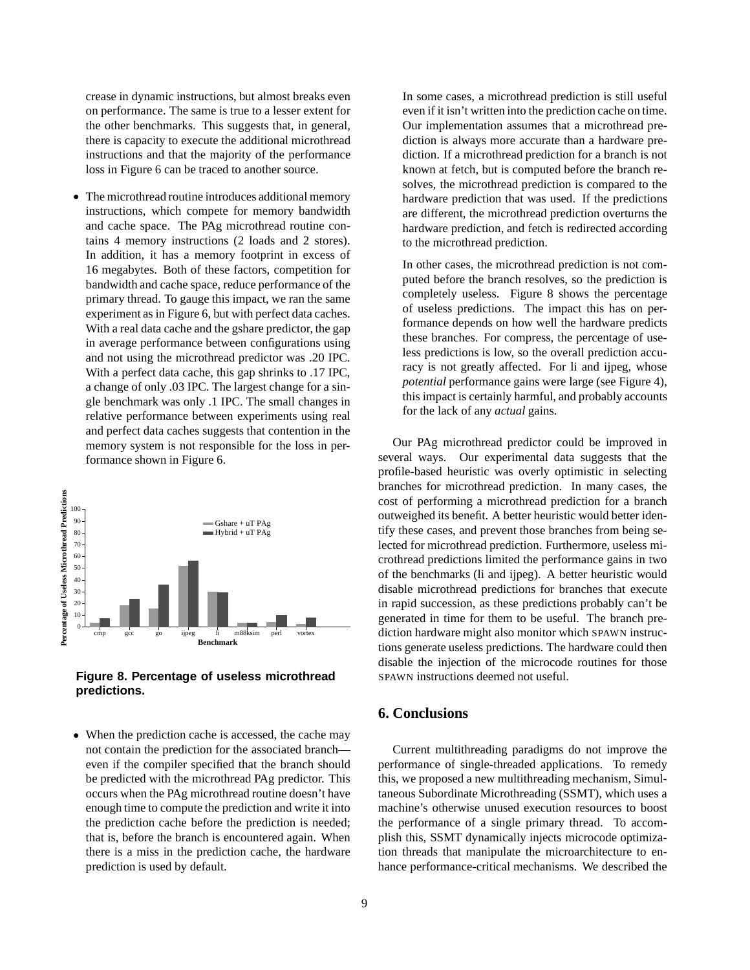crease in dynamic instructions, but almost breaks even on performance. The same is true to a lesser extent for the other benchmarks. This suggests that, in general, there is capacity to execute the additional microthread instructions and that the majority of the performance loss in Figure 6 can be traced to another source.

 The microthread routine introduces additional memory instructions, which compete for memory bandwidth and cache space. The PAg microthread routine contains 4 memory instructions (2 loads and 2 stores). In addition, it has a memory footprint in excess of 16 megabytes. Both of these factors, competition for bandwidth and cache space, reduce performance of the primary thread. To gauge this impact, we ran the same experiment as in Figure 6, but with perfect data caches. With a real data cache and the gshare predictor, the gap in average performance between configurations using and not using the microthread predictor was .20 IPC. With a perfect data cache, this gap shrinks to .17 IPC, a change of only .03 IPC. The largest change for a single benchmark was only .1 IPC. The small changes in relative performance between experiments using real and perfect data caches suggests that contention in the memory system is not responsible for the loss in performance shown in Figure 6.



**Figure 8. Percentage of useless microthread predictions.**

 When the prediction cache is accessed, the cache may not contain the prediction for the associated branch even if the compiler specified that the branch should be predicted with the microthread PAg predictor. This occurs when the PAg microthread routine doesn't have enough time to compute the prediction and write it into the prediction cache before the prediction is needed; that is, before the branch is encountered again. When there is a miss in the prediction cache, the hardware prediction is used by default.

In some cases, a microthread prediction is still useful even if it isn't written into the prediction cache on time. Our implementation assumes that a microthread prediction is always more accurate than a hardware prediction. If a microthread prediction for a branch is not known at fetch, but is computed before the branch resolves, the microthread prediction is compared to the hardware prediction that was used. If the predictions are different, the microthread prediction overturns the hardware prediction, and fetch is redirected according to the microthread prediction.

In other cases, the microthread prediction is not computed before the branch resolves, so the prediction is completely useless. Figure 8 shows the percentage of useless predictions. The impact this has on performance depends on how well the hardware predicts these branches. For compress, the percentage of useless predictions is low, so the overall prediction accuracy is not greatly affected. For li and ijpeg, whose *potential* performance gains were large (see Figure 4), this impact is certainly harmful, and probably accounts for the lack of any *actual* gains.

Our PAg microthread predictor could be improved in several ways. Our experimental data suggests that the profile-based heuristic was overly optimistic in selecting branches for microthread prediction. In many cases, the cost of performing a microthread prediction for a branch outweighed its benefit. A better heuristic would better identify these cases, and prevent those branches from being selected for microthread prediction. Furthermore, useless microthread predictions limited the performance gains in two of the benchmarks (li and ijpeg). A better heuristic would disable microthread predictions for branches that execute in rapid succession, as these predictions probably can't be generated in time for them to be useful. The branch prediction hardware might also monitor which SPAWN instructions generate useless predictions. The hardware could then disable the injection of the microcode routines for those SPAWN instructions deemed not useful.

# **6. Conclusions**

Current multithreading paradigms do not improve the performance of single-threaded applications. To remedy this, we proposed a new multithreading mechanism, Simultaneous Subordinate Microthreading (SSMT), which uses a machine's otherwise unused execution resources to boost the performance of a single primary thread. To accomplish this, SSMT dynamically injects microcode optimization threads that manipulate the microarchitecture to enhance performance-critical mechanisms. We described the